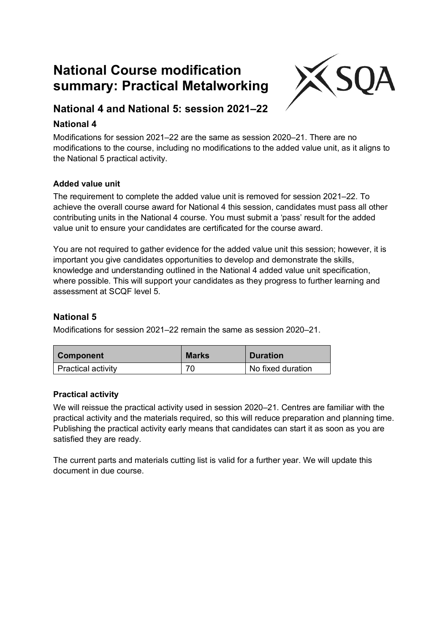# **National Course modification summary: Practical Metalworking**



## **National 4 and National 5: session 2021–22**

## **National 4**

Modifications for session 2021–22 are the same as session 2020–21. There are no modifications to the course, including no modifications to the added value unit, as it aligns to the National 5 practical activity.

### **Added value unit**

The requirement to complete the added value unit is removed for session 2021–22. To achieve the overall course award for National 4 this session, candidates must pass all other contributing units in the National 4 course. You must submit a 'pass' result for the added value unit to ensure your candidates are certificated for the course award.

You are not required to gather evidence for the added value unit this session; however, it is important you give candidates opportunities to develop and demonstrate the skills, knowledge and understanding outlined in the National 4 added value unit specification, where possible. This will support your candidates as they progress to further learning and assessment at SCQF level 5.

### **National 5**

Modifications for session 2021–22 remain the same as session 2020–21.

| <b>Component</b>          | <b>Marks</b> | <b>Duration</b>   |
|---------------------------|--------------|-------------------|
| <b>Practical activity</b> |              | No fixed duration |

#### **Practical activity**

We will reissue the practical activity used in session 2020–21. Centres are familiar with the practical activity and the materials required, so this will reduce preparation and planning time. Publishing the practical activity early means that candidates can start it as soon as you are satisfied they are ready.

The current parts and materials cutting list is valid for a further year. We will update this document in due course.